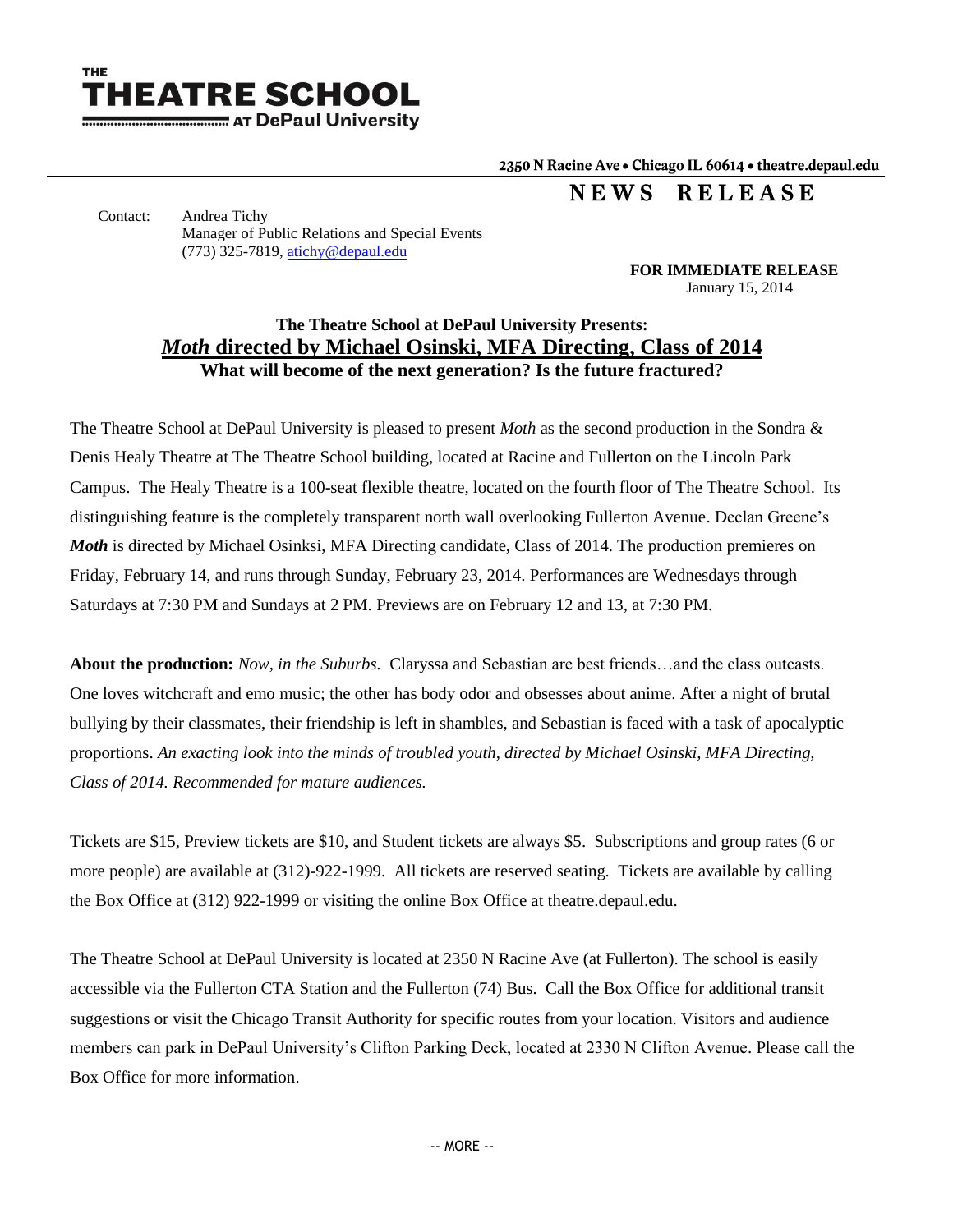

2350 N Racine Ave . Chicago IL 60614 . theatre.depaul.edu

NEWS RELEASE

Contact: Andrea Tichy Manager of Public Relations and Special Events (773) 325-7819[, atichy@depaul.edu](mailto:atichy@depaul.edu) 

> **FOR IMMEDIATE RELEASE** January 15, 2014

## **The Theatre School at DePaul University Presents:** *Moth* **directed by Michael Osinski, MFA Directing, Class of 2014 What will become of the next generation? Is the future fractured?**

The Theatre School at DePaul University is pleased to present *Moth* as the second production in the Sondra & Denis Healy Theatre at The Theatre School building, located at Racine and Fullerton on the Lincoln Park Campus. The Healy Theatre is a 100-seat flexible theatre, located on the fourth floor of The Theatre School. Its distinguishing feature is the completely transparent north wall overlooking Fullerton Avenue. Declan Greene's *Moth* is directed by Michael Osinksi, MFA Directing candidate, Class of 2014. The production premieres on Friday, February 14, and runs through Sunday, February 23, 2014. Performances are Wednesdays through Saturdays at 7:30 PM and Sundays at 2 PM. Previews are on February 12 and 13, at 7:30 PM.

**About the production:** *Now, in the Suburbs.* Claryssa and Sebastian are best friends…and the class outcasts. One loves witchcraft and emo music; the other has body odor and obsesses about anime. After a night of brutal bullying by their classmates, their friendship is left in shambles, and Sebastian is faced with a task of apocalyptic proportions. *An exacting look into the minds of troubled youth, directed by Michael Osinski, MFA Directing, Class of 2014. Recommended for mature audiences.* 

Tickets are \$15, Preview tickets are \$10, and Student tickets are always \$5. Subscriptions and group rates (6 or more people) are available at (312)-922-1999. All tickets are reserved seating. Tickets are available by calling the Box Office at (312) 922-1999 or visiting the online Box Office at theatre.depaul.edu.

The Theatre School at DePaul University is located at 2350 N Racine Ave (at Fullerton). The school is easily accessible via the Fullerton CTA Station and the Fullerton (74) Bus. Call the Box Office for additional transit suggestions or visit the Chicago Transit Authority for specific routes from your location. Visitors and audience members can park in DePaul University's Clifton Parking Deck, located at 2330 N Clifton Avenue. Please call the Box Office for more information.